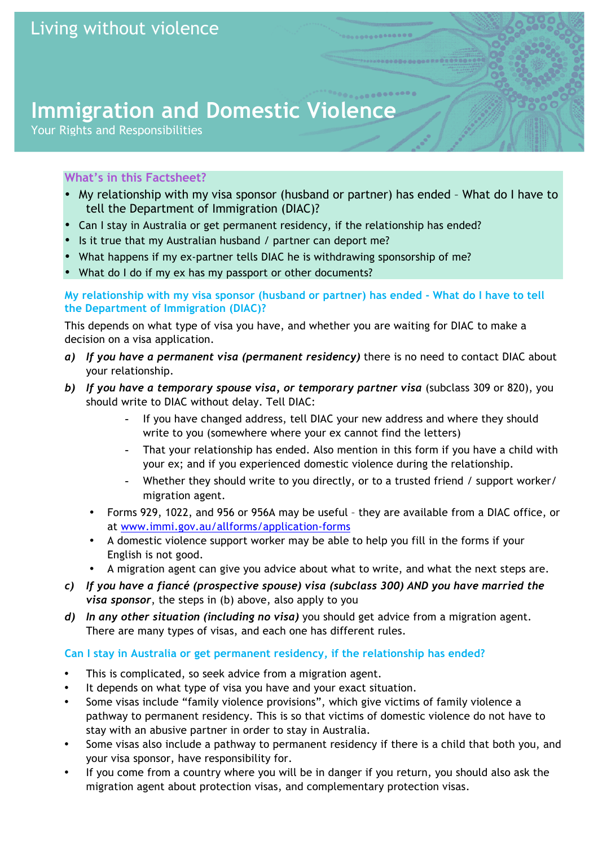# **Immigration and Domestic Violence**

Your Rights and Responsibilities

## **What's in this Factsheet?**

- My relationship with my visa sponsor (husband or partner) has ended What do I have to tell the Department of Immigration (DIAC)?
- Can I stay in Australia or get permanent residency, if the relationship has ended?
- Is it true that my Australian husband / partner can deport me?
- What happens if my ex-partner tells DIAC he is withdrawing sponsorship of me?
- What do I do if my ex has my passport or other documents?

#### **My relationship with my visa sponsor (husband or partner) has ended - What do I have to tell the Department of Immigration (DIAC)?**

This depends on what type of visa you have, and whether you are waiting for DIAC to make a decision on a visa application.

- *a) If you have a permanent visa (permanent residency)* there is no need to contact DIAC about your relationship.
- *b) If you have a temporary spouse visa, or temporary partner visa* (subclass 309 or 820), you should write to DIAC without delay. Tell DIAC:
	- If you have changed address, tell DIAC your new address and where they should write to you (somewhere where your ex cannot find the letters)
	- That your relationship has ended. Also mention in this form if you have a child with your ex; and if you experienced domestic violence during the relationship.
	- Whether they should write to you directly, or to a trusted friend / support worker/ migration agent.
	- Forms 929, 1022, and 956 or 956A may be useful they are available from a DIAC office, or at www.immi.gov.au/allforms/application-forms
	- A domestic violence support worker may be able to help you fill in the forms if your English is not good.
	- A migration agent can give you advice about what to write, and what the next steps are.
- *c) If you have a fiancé (prospective spouse) visa (subclass 300) AND you have married the visa sponsor*, the steps in (b) above, also apply to you
- *d) In any other situation (including no visa)* you should get advice from a migration agent. There are many types of visas, and each one has different rules.

## **Can I stay in Australia or get permanent residency, if the relationship has ended?**

- This is complicated, so seek advice from a migration agent.
- It depends on what type of visa you have and your exact situation.
- Some visas include "family violence provisions", which give victims of family violence a pathway to permanent residency. This is so that victims of domestic violence do not have to stay with an abusive partner in order to stay in Australia.
- Some visas also include a pathway to permanent residency if there is a child that both you, and your visa sponsor, have responsibility for.
- If you come from a country where you will be in danger if you return, you should also ask the migration agent about protection visas, and complementary protection visas.